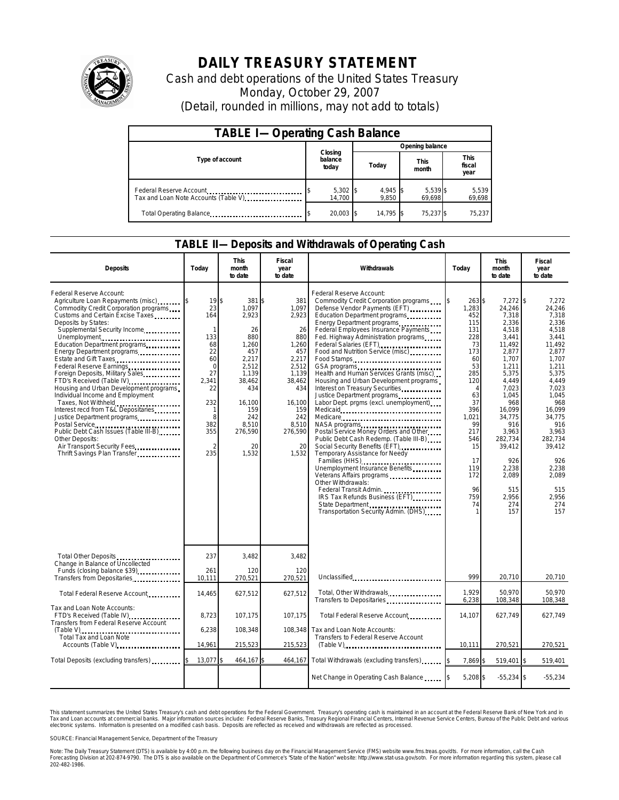

## **DAILY TREASURY STATEMENT**

Cash and debt operations of the United States Treasury Monday, October 29, 2007 (Detail, rounded in millions, may not add to totals)

| <b>TABLE I-Operating Cash Balance</b>                           |                             |                   |                      |                               |  |  |  |
|-----------------------------------------------------------------|-----------------------------|-------------------|----------------------|-------------------------------|--|--|--|
|                                                                 |                             | Opening balance   |                      |                               |  |  |  |
| Type of account                                                 | Closing<br>balance<br>today | Today             | <b>This</b><br>month | <b>This</b><br>fiscal<br>year |  |  |  |
| Federal Reserve Account<br>Tax and Loan Note Accounts (Table V) | 5,302<br>14.700             | 4,945 \$<br>9.850 | 5,539 \$<br>69.698   | 5,539<br>69,698               |  |  |  |
| Total Operating Balance                                         | 20,003 \$                   | 14.795 \$         | 75.237 \$            | 75.237                        |  |  |  |

## **TABLE II—Deposits and Withdrawals of Operating Cash**

| <b>Deposits</b>                                                                                                                                                                                                                                                                                                                                                                                                                                                                                                                                                                                                                                                                                                                  | Todav                                                                                                                                             | <b>This</b><br>month<br>to date                                                                                                                                 | Fiscal<br>year<br>to date                                                                                                                                       | Withdrawals                                                                                                                                                                                                                                                                                                                                                                                                                                                                                                                                                                                                                                                                                                                                                                                                                                                                                                      | Today                                                                                                                                                                                                | <b>This</b><br>month<br>to date                                                                                                                                                                                                                        | Fiscal<br>year<br>to date                                                                                                                                                                                                                           |
|----------------------------------------------------------------------------------------------------------------------------------------------------------------------------------------------------------------------------------------------------------------------------------------------------------------------------------------------------------------------------------------------------------------------------------------------------------------------------------------------------------------------------------------------------------------------------------------------------------------------------------------------------------------------------------------------------------------------------------|---------------------------------------------------------------------------------------------------------------------------------------------------|-----------------------------------------------------------------------------------------------------------------------------------------------------------------|-----------------------------------------------------------------------------------------------------------------------------------------------------------------|------------------------------------------------------------------------------------------------------------------------------------------------------------------------------------------------------------------------------------------------------------------------------------------------------------------------------------------------------------------------------------------------------------------------------------------------------------------------------------------------------------------------------------------------------------------------------------------------------------------------------------------------------------------------------------------------------------------------------------------------------------------------------------------------------------------------------------------------------------------------------------------------------------------|------------------------------------------------------------------------------------------------------------------------------------------------------------------------------------------------------|--------------------------------------------------------------------------------------------------------------------------------------------------------------------------------------------------------------------------------------------------------|-----------------------------------------------------------------------------------------------------------------------------------------------------------------------------------------------------------------------------------------------------|
| Federal Reserve Account:<br>Agriculture Loan Repayments (misc)<br>Commodity Credit Corporation programs<br>Customs and Certain Excise Taxes<br>Deposits by States:<br>Supplemental Security Income<br>Unemployment<br>Education Department programs<br>Energy Department programs<br>Estate and Gift Taxes<br>Federal Reserve Earnings.<br>Foreign Deposits, Military Sales<br>FTD's Received (Table IV)<br>Housing and Urban Development programs<br>Individual Income and Employment<br>Taxes, Not Withheld<br>Interest recd from T&L Depositaries<br>Justice Department programs<br>Postal Service<br>Public Debt Cash Issues (Table III-B)<br>Other Deposits:<br>Air Transport Security Fees<br>Thrift Savings Plan Transfer | 19<br>23<br>164<br>$\mathbf{1}$<br>133<br>68<br>22<br>60<br>$\Omega$<br>27<br>2,341<br>22<br>232<br>1<br>8<br>382<br>355<br>$\mathfrak{D}$<br>235 | \$<br>381<br>1.097<br>2,923<br>26<br>880<br>1,260<br>457<br>2,217<br>2,512<br>1,139<br>38,462<br>434<br>16,100<br>159<br>242<br>8,510<br>276,590<br>20<br>1,532 | 381<br>\$<br>1.097<br>2,923<br>26<br>880<br>1,260<br>457<br>2,217<br>2,512<br>1,139<br>38,462<br>434<br>16,100<br>159<br>242<br>8,510<br>276,590<br>20<br>1,532 | Federal Reserve Account:<br>Commodity Credit Corporation programs<br>Defense Vendor Payments (EFT)<br>Education Department programs<br>Energy Department programs<br>Federal Employees Insurance Payments<br>Fed. Highway Administration programs<br>Federal Salaries (EFT)<br>Food and Nutrition Service (misc)<br>Food Stamps<br>Health and Human Services Grants (misc)<br>Housing and Urban Development programs<br>Interest on Treasury Securities<br>Justice Department programs<br>Labor Dept. prgms (excl. unemployment).<br>Medicare<br>Postal Service Money Orders and Other<br>Public Debt Cash Redemp. (Table III-B)<br>Social Security Benefits (EFT)<br>Temporary Assistance for Needy<br>Families (HHS)<br>Unemployment Insurance Benefits<br>Veterans Affairs programs<br>Other Withdrawals:<br>Federal Transit Admin.<br>IRS Tax Refunds Business (EFT)<br>Transportation Security Admin. (DHS) | l\$<br>$263$ \$<br>1,283<br>452<br>115<br>131<br>228<br>73<br>173<br>60<br>53<br>285<br>120<br>$\Delta$<br>63<br>37<br>396<br>1,021<br>99<br>217<br>546<br>15<br>17<br>119<br>172<br>96<br>759<br>74 | 7,272 \$<br>24,246<br>7,318<br>2,336<br>4,518<br>3,441<br>11,492<br>2,877<br>1,707<br>1,211<br>5,375<br>4,449<br>7,023<br>1,045<br>968<br>16.099<br>34,775<br>916<br>3,963<br>282,734<br>39,412<br>926<br>2,238<br>2,089<br>515<br>2,956<br>274<br>157 | 7,272<br>24,246<br>7,318<br>2.336<br>4.518<br>3,441<br>11,492<br>2,877<br>1.707<br>1,211<br>5,375<br>4,449<br>7,023<br>1.045<br>968<br>16,099<br>34,775<br>916<br>3,963<br>282,734<br>39,412<br>926<br>2,238<br>2.089<br>515<br>2,956<br>274<br>157 |
| Total Other Deposits<br>Change in Balance of Uncollected<br>Funds (closing balance \$39)                                                                                                                                                                                                                                                                                                                                                                                                                                                                                                                                                                                                                                         | 237<br>261                                                                                                                                        | 3,482<br>120                                                                                                                                                    | 3,482<br>120                                                                                                                                                    |                                                                                                                                                                                                                                                                                                                                                                                                                                                                                                                                                                                                                                                                                                                                                                                                                                                                                                                  |                                                                                                                                                                                                      |                                                                                                                                                                                                                                                        |                                                                                                                                                                                                                                                     |
| Transfers from Depositaries                                                                                                                                                                                                                                                                                                                                                                                                                                                                                                                                                                                                                                                                                                      | 10.111                                                                                                                                            | 270,521                                                                                                                                                         | 270,521                                                                                                                                                         | Unclassified                                                                                                                                                                                                                                                                                                                                                                                                                                                                                                                                                                                                                                                                                                                                                                                                                                                                                                     | 999                                                                                                                                                                                                  | 20,710                                                                                                                                                                                                                                                 | 20,710                                                                                                                                                                                                                                              |
| Total Federal Reserve Account                                                                                                                                                                                                                                                                                                                                                                                                                                                                                                                                                                                                                                                                                                    | 14,465                                                                                                                                            | 627,512                                                                                                                                                         | 627,512                                                                                                                                                         | Total, Other Withdrawals<br>Transfers to Depositaries                                                                                                                                                                                                                                                                                                                                                                                                                                                                                                                                                                                                                                                                                                                                                                                                                                                            | 1.929<br>6,238                                                                                                                                                                                       | 50.970<br>108,348                                                                                                                                                                                                                                      | 50.970<br>108,348                                                                                                                                                                                                                                   |
| Tax and Loan Note Accounts:<br>FTD's Received (Table IV)<br><b>Transfers from Federal Reserve Account</b>                                                                                                                                                                                                                                                                                                                                                                                                                                                                                                                                                                                                                        | 8.723                                                                                                                                             | 107.175                                                                                                                                                         | 107.175                                                                                                                                                         | Total Federal Reserve Account                                                                                                                                                                                                                                                                                                                                                                                                                                                                                                                                                                                                                                                                                                                                                                                                                                                                                    | 14.107                                                                                                                                                                                               | 627.749                                                                                                                                                                                                                                                | 627.749                                                                                                                                                                                                                                             |
| Total Tax and Loan Note                                                                                                                                                                                                                                                                                                                                                                                                                                                                                                                                                                                                                                                                                                          | 6,238                                                                                                                                             | 108,348                                                                                                                                                         |                                                                                                                                                                 | 108,348 Tax and Loan Note Accounts:<br>Transfers to Federal Reserve Account                                                                                                                                                                                                                                                                                                                                                                                                                                                                                                                                                                                                                                                                                                                                                                                                                                      |                                                                                                                                                                                                      |                                                                                                                                                                                                                                                        |                                                                                                                                                                                                                                                     |
| Accounts (Table V)                                                                                                                                                                                                                                                                                                                                                                                                                                                                                                                                                                                                                                                                                                               | 14,961                                                                                                                                            | 215,523                                                                                                                                                         | 215,523                                                                                                                                                         | $(Table V)$                                                                                                                                                                                                                                                                                                                                                                                                                                                                                                                                                                                                                                                                                                                                                                                                                                                                                                      | 10,111                                                                                                                                                                                               | 270,521                                                                                                                                                                                                                                                | 270,521                                                                                                                                                                                                                                             |
| Total Deposits (excluding transfers)                                                                                                                                                                                                                                                                                                                                                                                                                                                                                                                                                                                                                                                                                             | 13,077                                                                                                                                            | 464,167 \$                                                                                                                                                      | 464,167                                                                                                                                                         | Total Withdrawals (excluding transfers)                                                                                                                                                                                                                                                                                                                                                                                                                                                                                                                                                                                                                                                                                                                                                                                                                                                                          | 7,869 \$                                                                                                                                                                                             | 519,401                                                                                                                                                                                                                                                | 519,401                                                                                                                                                                                                                                             |
|                                                                                                                                                                                                                                                                                                                                                                                                                                                                                                                                                                                                                                                                                                                                  |                                                                                                                                                   |                                                                                                                                                                 |                                                                                                                                                                 | Net Change in Operating Cash Balance                                                                                                                                                                                                                                                                                                                                                                                                                                                                                                                                                                                                                                                                                                                                                                                                                                                                             | 5,208 \$                                                                                                                                                                                             | $-55,234$ \$                                                                                                                                                                                                                                           | $-55,234$                                                                                                                                                                                                                                           |

This statement summarizes the United States Treasury's cash and debt operations for the Federal Government. Treasury's operating cash is maintainec<br>Tax and Loan accounts at commercial banks. Major information sources inclu narizes the United States Treasury's cash and debt operations for the Federal Government. Treasury's operating cash is maintained in an account at the Federal Reserve Bank of New York and in<br>nts at commercial banks. Major

SOURCE: Financial Management Service, Department of the Treasury

Note: The Daily Treasury Statement (DTS) is available by 4:00 p.m. the following business day on the Financial Management Service (FMS) website www.fms.treas.gov/dts. For more information, call the Cash<br>Forecasting Divisio 202-482-1986.